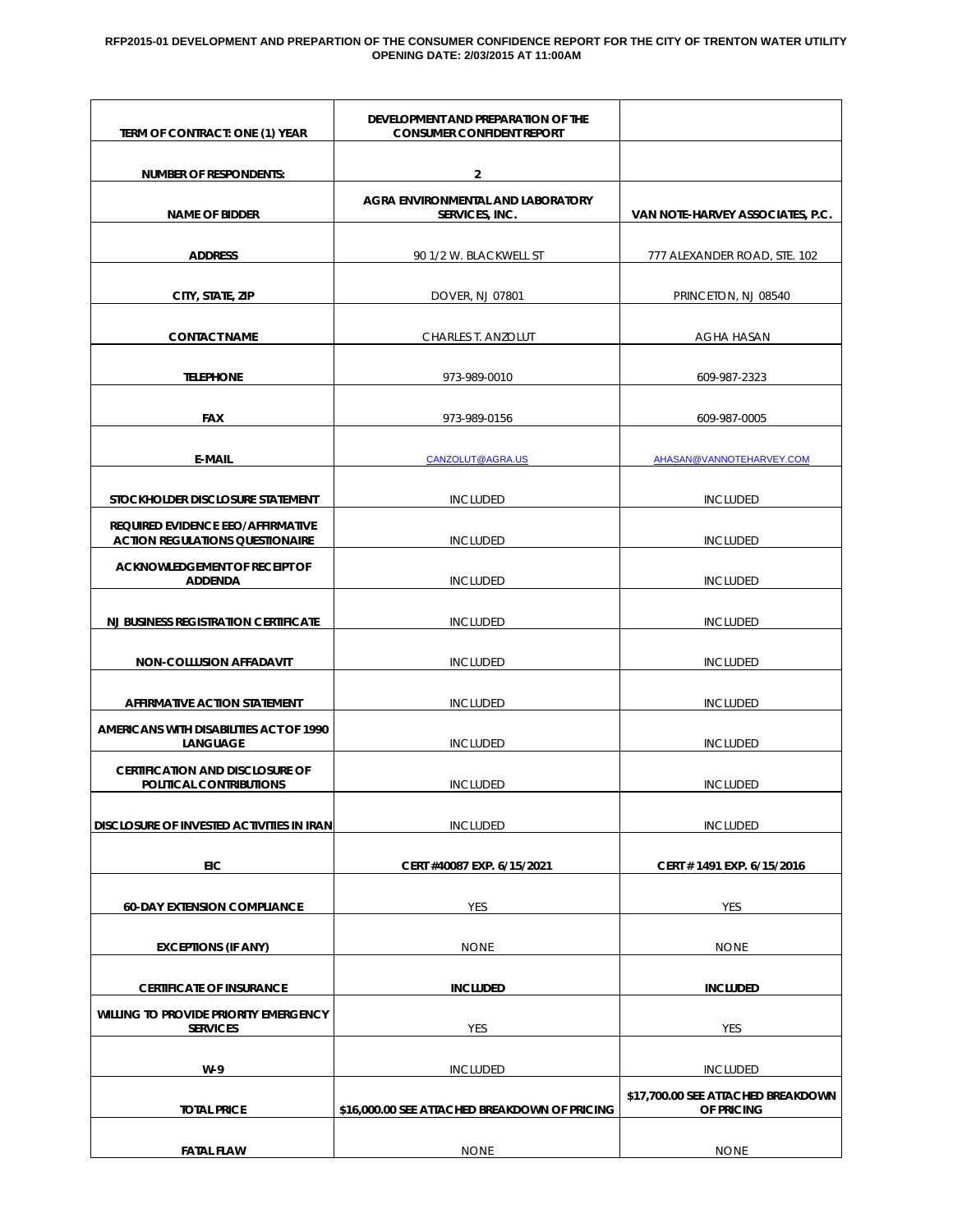#### **RFP2015-01 DEVELOPMENT AND PREPARTION OF THE CONSUMER CONFIDENCE REPORT FOR THE CITY OF TRENTON WATER UTILITY OPENING DATE: 2/03/2015 AT 11:00AM**

| TERM OF CONTRACT: ONE (1) YEAR                                              | DEVELOPMENT AND PREPARATION OF THE<br><b>CONSUMER CONFIDENT REPORT</b> |                                                  |
|-----------------------------------------------------------------------------|------------------------------------------------------------------------|--------------------------------------------------|
| <b>NUMBER OF RESPONDENTS:</b>                                               | $\overline{2}$                                                         |                                                  |
| <b>NAME OF BIDDER</b>                                                       | AGRA ENVIRONMENTAL AND LABORATORY<br>SERVICES, INC.                    | VAN NOTE-HARVEY ASSOCIATES, P.C.                 |
| <b>ADDRESS</b>                                                              | 90 1/2 W. BLACKWELL ST                                                 | 777 ALEXANDER ROAD, STE. 102                     |
| CITY, STATE, ZIP                                                            | DOVER, NJ 07801                                                        | PRINCETON, NJ 08540                              |
| <b>CONTACT NAME</b>                                                         | CHARLES T. ANZOLUT                                                     | AGHA HASAN                                       |
| <b>TELEPHONE</b>                                                            | 973-989-0010                                                           | 609-987-2323                                     |
| <b>FAX</b>                                                                  | 973-989-0156                                                           | 609-987-0005                                     |
| <b>E-MAIL</b>                                                               | CANZOLUT@AGRA.US                                                       | AHASAN@VANNOTEHARVEY.COM                         |
| STOCKHOLDER DISCLOSURE STATEMENT                                            | <b>INCLUDED</b>                                                        | <b>INCLUDED</b>                                  |
| REQUIRED EVIDENCE EEO/AFFIRMATIVE<br><b>ACTION REGULATIONS QUESTIONAIRE</b> | <b>INCLUDED</b>                                                        | <b>INCLUDED</b>                                  |
| ACKNOWLEDGEMENT OF RECEIPT OF<br><b>ADDENDA</b>                             | <b>INCLUDED</b>                                                        | <b>INCLUDED</b>                                  |
| <b>NJ BUSINESS REGISTRATION CERTIFICATE</b>                                 | <b>INCLUDED</b>                                                        | <b>INCLUDED</b>                                  |
| <b>NON-COLLUSION AFFADAVIT</b>                                              | <b>INCLUDED</b>                                                        | <b>INCLUDED</b>                                  |
| <b>AFFIRMATIVE ACTION STATEMENT</b>                                         | <b>INCLUDED</b>                                                        | <b>INCLUDED</b>                                  |
| AMERICANS WITH DISABILITIES ACT OF 1990<br><b>LANGUAGE</b>                  | <b>INCLUDED</b>                                                        | <b>INCLUDED</b>                                  |
| <b>CERTIFICATION AND DISCLOSURE OF</b><br>POLITICAL CONTRIBUTIONS           | <b>INCLUDED</b>                                                        | <b>INCLUDED</b>                                  |
| DISCLOSURE OF INVESTED ACTIVITIES IN IRAN                                   | <b>INCLUDED</b>                                                        | <b>INCLUDED</b>                                  |
| EIC                                                                         | CERT #40087 EXP. 6/15/2021                                             | CERT # 1491 EXP. 6/15/2016                       |
| <b>60-DAY EXTENSION COMPLIANCE</b>                                          | YES                                                                    | YES                                              |
| <b>EXCEPTIONS (IF ANY)</b>                                                  | <b>NONE</b>                                                            | <b>NONE</b>                                      |
| <b>CERTIFICATE OF INSURANCE</b>                                             | <b>INCLUDED</b>                                                        | <b>INCLUDED</b>                                  |
| WILLING TO PROVIDE PRIORITY EMERGENCY<br><b>SERVICES</b>                    | YES                                                                    | YES                                              |
| $W-9$                                                                       | <b>INCLUDED</b>                                                        | <b>INCLUDED</b>                                  |
| <b>TOTAL PRICE</b>                                                          | \$16,000.00 SEE ATTACHED BREAKDOWN OF PRICING                          | \$17,700.00 SEE ATTACHED BREAKDOWN<br>OF PRICING |
| <b>FATAL FLAW</b>                                                           | <b>NONE</b>                                                            | <b>NONE</b>                                      |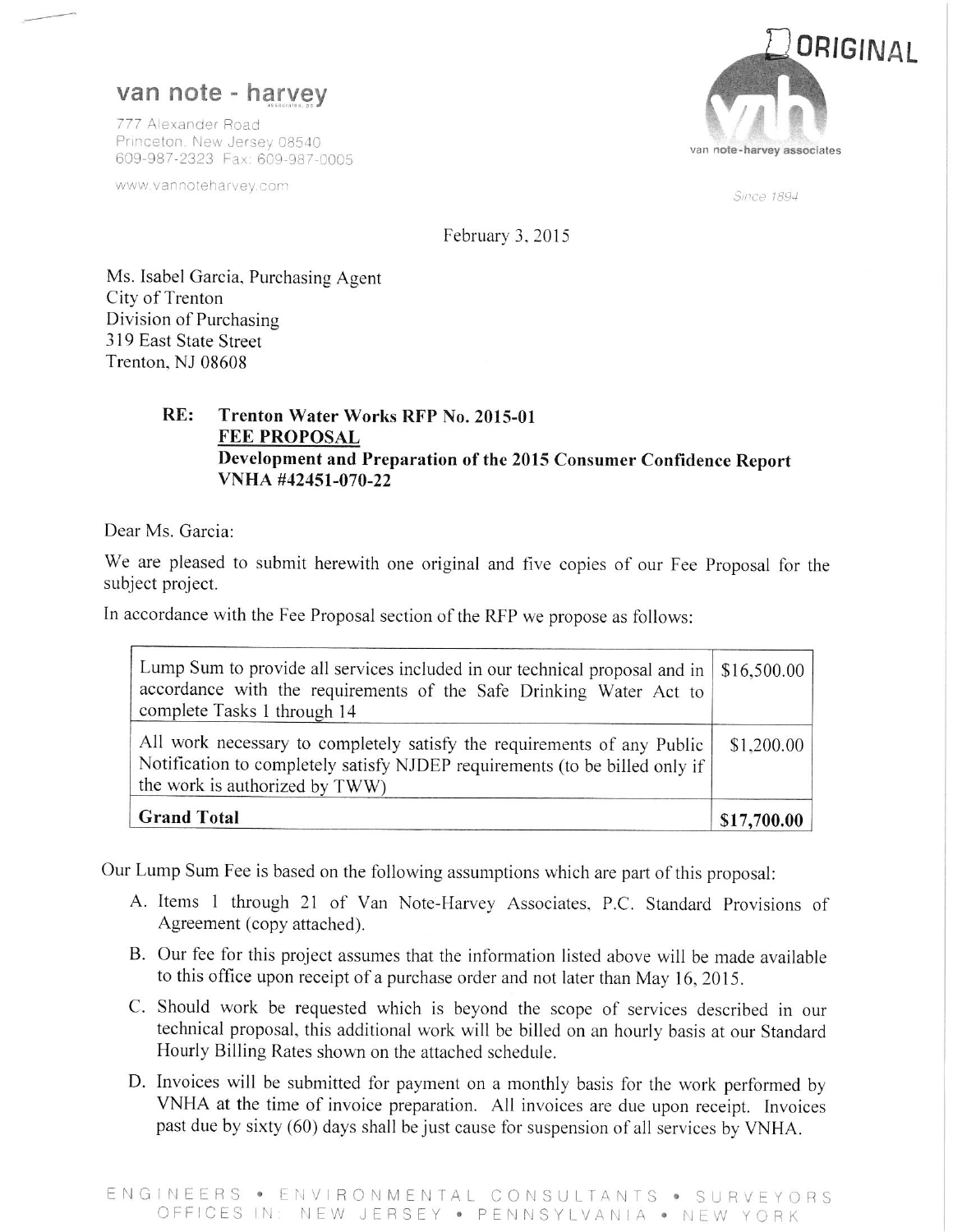# van note - harvey

777 Alexander Road Princeton. New Jersey 08540 609-987-2323 Fax: 609-987-0005

www.vannoteharvey.com



Since 1894

February 3, 2015

Ms. Isabel Garcia, Purchasing Agent City of Trenton Division of Purchasing 319 East State Street Trenton, NJ 08608

### $RE:$ Trenton Water Works RFP No. 2015-01 **FEE PROPOSAL** Development and Preparation of the 2015 Consumer Confidence Report VNHA #42451-070-22

Dear Ms. Garcia:

We are pleased to submit herewith one original and five copies of our Fee Proposal for the subject project.

In accordance with the Fee Proposal section of the RFP we propose as follows:

| Lump Sum to provide all services included in our technical proposal and in   \$16,500.00  <br>accordance with the requirements of the Safe Drinking Water Act to<br>complete Tasks 1 through 14 |             |
|-------------------------------------------------------------------------------------------------------------------------------------------------------------------------------------------------|-------------|
| All work necessary to completely satisfy the requirements of any Public<br>Notification to completely satisfy NJDEP requirements (to be billed only if<br>the work is authorized by TWW)        |             |
| <b>Grand Total</b>                                                                                                                                                                              | \$17,700.00 |

Our Lump Sum Fee is based on the following assumptions which are part of this proposal:

- A. Items 1 through 21 of Van Note-Harvey Associates, P.C. Standard Provisions of Agreement (copy attached).
- B. Our fee for this project assumes that the information listed above will be made available to this office upon receipt of a purchase order and not later than May 16, 2015.
- C. Should work be requested which is beyond the scope of services described in our technical proposal, this additional work will be billed on an hourly basis at our Standard Hourly Billing Rates shown on the attached schedule.
- D. Invoices will be submitted for payment on a monthly basis for the work performed by VNHA at the time of invoice preparation. All invoices are due upon receipt. Invoices past due by sixty (60) days shall be just cause for suspension of all services by VNHA.